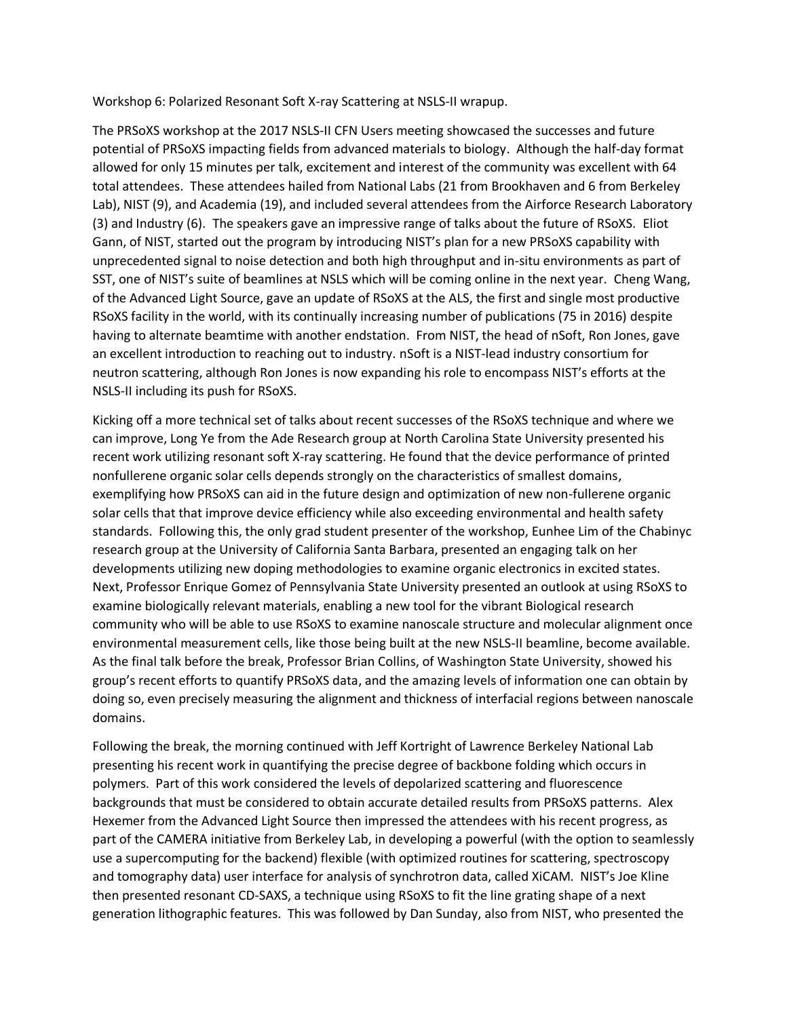Workshop 6: Polarized Resonant Soft X-ray Scattering at NSLS-II wrapup.

The PRSoXS workshop at the 2017 NSLS-II CFN Users meeting showcased the successes and future potential of PRSoXS impacting fields from advanced materials to biology. Although the half-day format allowed for only 15 minutes per talk, excitement and interest of the community was excellent with 64 total attendees. These attendees hailed from National Labs (21 from Brookhaven and 6 from Berkeley Lab), NIST (9), and Academia (19), and included several attendees from the Airforce Research Laboratory (3) and Industry (6). The speakers gave an impressive range of talks about the future of RSoXS. Eliot Gann, of NIST, started out the program by introducing NIST's plan for a new PRSoXS capability with unprecedented signal to noise detection and both high throughput and in-situ environments as part of SST, one of NIST's suite of beamlines at NSLS which will be coming online in the next year. Cheng Wang, of the Advanced Light Source, gave an update of RSoXS at the ALS, the first and single most productive RSoXS facility in the world, with its continually increasing number of publications (75 in 2016) despite having to alternate beamtime with another endstation. From NIST, the head of nSoft, Ron Jones, gave an excellent introduction to reaching out to industry. nSoft is a NIST-lead industry consortium for neutron scattering, although Ron Jones is now expanding his role to encompass NIST's efforts at the NSLS-II including its push for RSoXS.

Kicking off a more technical set of talks about recent successes of the RSoXS technique and where we can improve, Long Ye from the Ade Research group at North Carolina State University presented his recent work utilizing resonant soft X-ray scattering. He found that the device performance of printed nonfullerene organic solar cells depends strongly on the characteristics of smallest domains, exemplifying how PRSoXS can aid in the future design and optimization of new non-fullerene organic solar cells that that improve device efficiency while also exceeding environmental and health safety standards. Following this, the only grad student presenter of the workshop, Eunhee Lim of the Chabinyc research group at the University of California Santa Barbara, presented an engaging talk on her developments utilizing new doping methodologies to examine organic electronics in excited states. Next, Professor Enrique Gomez of Pennsylvania State University presented an outlook at using RSoXS to examine biologically relevant materials, enabling a new tool for the vibrant Biological research community who will be able to use RSoXS to examine nanoscale structure and molecular alignment once environmental measurement cells, like those being built at the new NSLS-II beamline, become available. As the final talk before the break, Professor Brian Collins, of Washington State University, showed his group's recent efforts to quantify PRSoXS data, and the amazing levels of information one can obtain by doing so, even precisely measuring the alignment and thickness of interfacial regions between nanoscale domains.

Following the break, the morning continued with Jeff Kortright of Lawrence Berkeley National Lab presenting his recent work in quantifying the precise degree of backbone folding which occurs in polymers. Part of this work considered the levels of depolarized scattering and fluorescence backgrounds that must be considered to obtain accurate detailed results from PRSoXS patterns. Alex Hexemer from the Advanced Light Source then impressed the attendees with his recent progress, as part of the CAMERA initiative from Berkeley Lab, in developing a powerful (with the option to seamlessly use a supercomputing for the backend) flexible (with optimized routines for scattering, spectroscopy and tomography data) user interface for analysis of synchrotron data, called XiCAM. NIST's Joe Kline then presented resonant CD-SAXS, a technique using RSoXS to fit the line grating shape of a next generation lithographic features. This was followed by Dan Sunday, also from NIST, who presented the